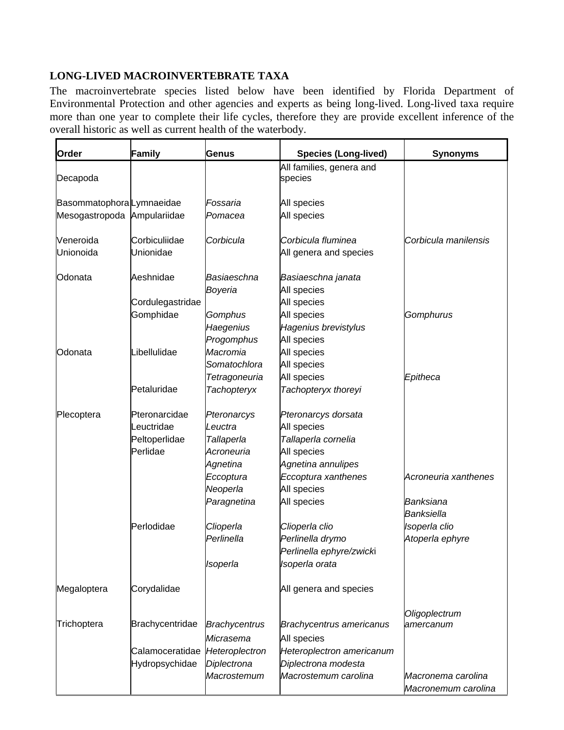## **LONG-LIVED MACROINVERTEBRATE TAXA**

The macroinvertebrate species listed below have been identified by Florida Department of Environmental Protection and other agencies and experts as being long-lived. Long-lived taxa require more than one year to complete their life cycles, therefore they are provide excellent inference of the overall historic as well as current health of the waterbody.

| Order                       | Family           | Genus                  | <b>Species (Long-lived)</b>         | <b>Synonyms</b>                           |
|-----------------------------|------------------|------------------------|-------------------------------------|-------------------------------------------|
| Decapoda                    |                  |                        | All families, genera and<br>species |                                           |
| Basommatophora Lymnaeidae   |                  | Fossaria               | All species                         |                                           |
| Mesogastropoda Ampulariidae |                  | Pomacea                | All species                         |                                           |
| Veneroida                   | Corbiculiidae    | Corbicula              | Corbicula fluminea                  | Corbicula manilensis                      |
| Unionoida                   | Unionidae        |                        | All genera and species              |                                           |
| Odonata                     | Aeshnidae        | Basiaeschna<br>Boyeria | Basiaeschna janata<br>All species   |                                           |
|                             | Cordulegastridae |                        | All species                         |                                           |
|                             | Gomphidae        | Gomphus                | All species                         | Gomphurus                                 |
|                             |                  | Haegenius              | Hagenius brevistylus                |                                           |
|                             |                  | Progomphus             | All species                         |                                           |
| Odonata                     | Libellulidae     | Macromia               | All species                         |                                           |
|                             |                  | Somatochlora           | All species                         |                                           |
|                             |                  | Tetragoneuria          | All species                         | Epitheca                                  |
|                             | Petaluridae      | <b>Tachopteryx</b>     | Tachopteryx thoreyi                 |                                           |
| Plecoptera                  | Pteronarcidae    | Pteronarcys            | Pteronarcys dorsata                 |                                           |
|                             | euctridae        | Leuctra                | All species                         |                                           |
|                             | Peltoperlidae    | Tallaperla             | Tallaperla cornelia                 |                                           |
|                             | Perlidae         | Acroneuria             | All species                         |                                           |
|                             |                  | Agnetina               | Agnetina annulipes                  |                                           |
|                             |                  | Eccoptura              | Eccoptura xanthenes                 | Acroneuria xanthenes                      |
|                             |                  | Neoperla               | All species                         |                                           |
|                             |                  | Paragnetina            | All species                         | Banksiana                                 |
|                             |                  |                        |                                     | <b>Banksiella</b>                         |
|                             | Perlodidae       | Clioperla              | Clioperla clio                      | Isoperla clio                             |
|                             |                  | Perlinella             | Perlinella drymo                    | Atoperla ephyre                           |
|                             |                  |                        | Perlinella ephyre/zwicki            |                                           |
|                             |                  | Isoperla               | Isoperla orata                      |                                           |
| Megaloptera                 | Corydalidae      |                        | All genera and species              |                                           |
|                             |                  |                        |                                     | Oligoplectrum                             |
| Trichoptera                 | Brachycentridae  | Brachycentrus          | <b>Brachycentrus americanus</b>     | amercanum                                 |
|                             |                  | Micrasema              | All species                         |                                           |
|                             | Calamoceratidae  | Heteroplectron         | Heteroplectron americanum           |                                           |
|                             | Hydropsychidae   | Diplectrona            | Diplectrona modesta                 |                                           |
|                             |                  | Macrostemum            | Macrostemum carolina                | Macronema carolina<br>Macronemum carolina |